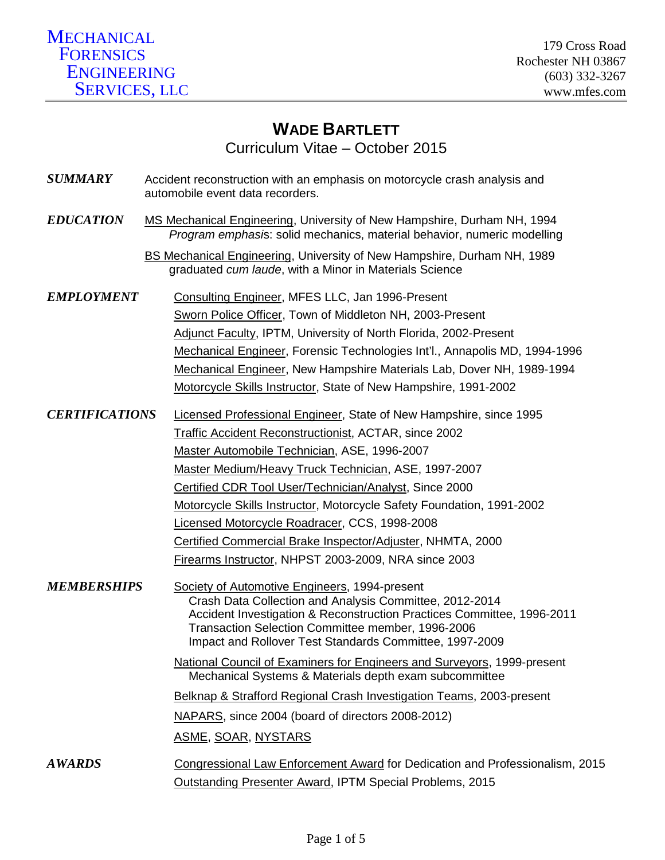# **WADE BARTLETT** Curriculum Vitae – October 2015

| <b>SUMMARY</b>        | Accident reconstruction with an emphasis on motorcycle crash analysis and<br>automobile event data recorders.                                                                                                                                                                                                                                                                                                                                                                                |
|-----------------------|----------------------------------------------------------------------------------------------------------------------------------------------------------------------------------------------------------------------------------------------------------------------------------------------------------------------------------------------------------------------------------------------------------------------------------------------------------------------------------------------|
| <b>EDUCATION</b>      | MS Mechanical Engineering, University of New Hampshire, Durham NH, 1994<br>Program emphasis: solid mechanics, material behavior, numeric modelling                                                                                                                                                                                                                                                                                                                                           |
|                       | BS Mechanical Engineering, University of New Hampshire, Durham NH, 1989<br>graduated cum laude, with a Minor in Materials Science                                                                                                                                                                                                                                                                                                                                                            |
| <b>EMPLOYMENT</b>     | Consulting Engineer, MFES LLC, Jan 1996-Present<br>Sworn Police Officer, Town of Middleton NH, 2003-Present<br>Adjunct Faculty, IPTM, University of North Florida, 2002-Present<br>Mechanical Engineer, Forensic Technologies Int'l., Annapolis MD, 1994-1996<br>Mechanical Engineer, New Hampshire Materials Lab, Dover NH, 1989-1994<br>Motorcycle Skills Instructor, State of New Hampshire, 1991-2002                                                                                    |
| <b>CERTIFICATIONS</b> | Licensed Professional Engineer, State of New Hampshire, since 1995<br><b>Traffic Accident Reconstructionist, ACTAR, since 2002</b><br>Master Automobile Technician, ASE, 1996-2007<br>Master Medium/Heavy Truck Technician, ASE, 1997-2007<br>Certified CDR Tool User/Technician/Analyst, Since 2000<br>Motorcycle Skills Instructor, Motorcycle Safety Foundation, 1991-2002<br>Licensed Motorcycle Roadracer, CCS, 1998-2008<br>Certified Commercial Brake Inspector/Adjuster, NHMTA, 2000 |
| <b>MEMBERSHIPS</b>    | Firearms Instructor, NHPST 2003-2009, NRA since 2003<br>Society of Automotive Engineers, 1994-present<br>Crash Data Collection and Analysis Committee, 2012-2014<br>Accident Investigation & Reconstruction Practices Committee, 1996-2011<br>Transaction Selection Committee member, 1996-2006<br>Impact and Rollover Test Standards Committee, 1997-2009                                                                                                                                   |
|                       | National Council of Examiners for Engineers and Surveyors, 1999-present<br>Mechanical Systems & Materials depth exam subcommittee<br>Belknap & Strafford Regional Crash Investigation Teams, 2003-present<br>NAPARS, since 2004 (board of directors 2008-2012)<br><u>ASME, SOAR, NYSTARS</u>                                                                                                                                                                                                 |
| <b>AWARDS</b>         | Congressional Law Enforcement Award for Dedication and Professionalism, 2015<br><b>Outstanding Presenter Award, IPTM Special Problems, 2015</b>                                                                                                                                                                                                                                                                                                                                              |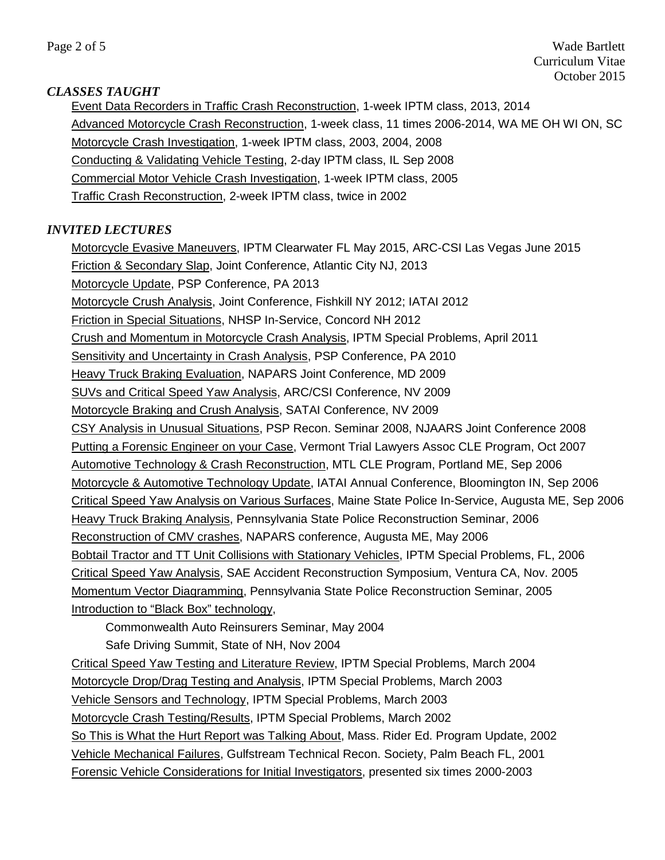Page 2 of 5 Wade Bartlett Curriculum Vitae October 2015

#### *CLASSES TAUGHT*

Event Data Recorders in Traffic Crash Reconstruction, 1-week IPTM class, 2013, 2014 Advanced Motorcycle Crash Reconstruction, 1-week class, 11 times 2006-2014, WA ME OH WI ON, SC Motorcycle Crash Investigation, 1-week IPTM class, 2003, 2004, 2008 Conducting & Validating Vehicle Testing, 2-day IPTM class, IL Sep 2008 Commercial Motor Vehicle Crash Investigation, 1-week IPTM class, 2005 Traffic Crash Reconstruction, 2-week IPTM class, twice in 2002

### *INVITED LECTURES*

Motorcycle Evasive Maneuvers, IPTM Clearwater FL May 2015, ARC-CSI Las Vegas June 2015 Friction & Secondary Slap, Joint Conference, Atlantic City NJ, 2013 Motorcycle Update, PSP Conference, PA 2013 Motorcycle Crush Analysis, Joint Conference, Fishkill NY 2012; IATAI 2012 Friction in Special Situations, NHSP In-Service, Concord NH 2012 Crush and Momentum in Motorcycle Crash Analysis, IPTM Special Problems, April 2011 Sensitivity and Uncertainty in Crash Analysis, PSP Conference, PA 2010 Heavy Truck Braking Evaluation, NAPARS Joint Conference, MD 2009 SUVs and Critical Speed Yaw Analysis, ARC/CSI Conference, NV 2009 Motorcycle Braking and Crush Analysis, SATAI Conference, NV 2009 CSY Analysis in Unusual Situations, PSP Recon. Seminar 2008, NJAARS Joint Conference 2008 Putting a Forensic Engineer on your Case, Vermont Trial Lawyers Assoc CLE Program, Oct 2007 Automotive Technology & Crash Reconstruction, MTL CLE Program, Portland ME, Sep 2006 Motorcycle & Automotive Technology Update, IATAI Annual Conference, Bloomington IN, Sep 2006 Critical Speed Yaw Analysis on Various Surfaces, Maine State Police In-Service, Augusta ME, Sep 2006 Heavy Truck Braking Analysis, Pennsylvania State Police Reconstruction Seminar, 2006 Reconstruction of CMV crashes, NAPARS conference, Augusta ME, May 2006 Bobtail Tractor and TT Unit Collisions with Stationary Vehicles, IPTM Special Problems, FL, 2006 Critical Speed Yaw Analysis, SAE Accident Reconstruction Symposium, Ventura CA, Nov. 2005 Momentum Vector Diagramming, Pennsylvania State Police Reconstruction Seminar, 2005 Introduction to "Black Box" technology,

Commonwealth Auto Reinsurers Seminar, May 2004

Safe Driving Summit, State of NH, Nov 2004

Critical Speed Yaw Testing and Literature Review, IPTM Special Problems, March 2004 Motorcycle Drop/Drag Testing and Analysis, IPTM Special Problems, March 2003 Vehicle Sensors and Technology, IPTM Special Problems, March 2003 Motorcycle Crash Testing/Results, IPTM Special Problems, March 2002 So This is What the Hurt Report was Talking About, Mass. Rider Ed. Program Update, 2002 Vehicle Mechanical Failures, Gulfstream Technical Recon. Society, Palm Beach FL, 2001 Forensic Vehicle Considerations for Initial Investigators, presented six times 2000-2003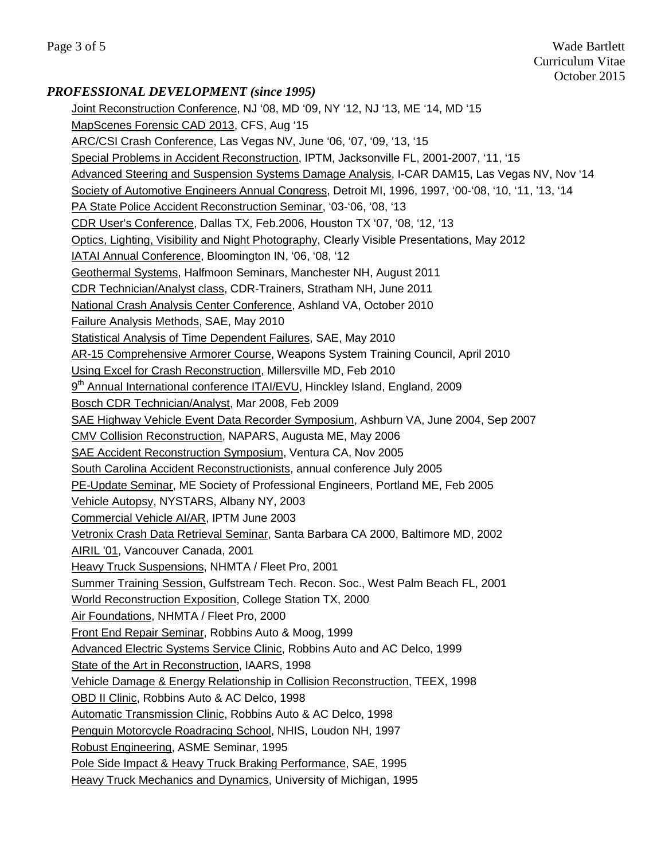## *PROFESSIONAL DEVELOPMENT (since 1995)*

Joint Reconstruction Conference, NJ '08, MD '09, NY '12, NJ '13, ME '14, MD '15 MapScenes Forensic CAD 2013, CFS, Aug '15 ARC/CSI Crash Conference, Las Vegas NV, June '06, '07, '09, '13, '15 Special Problems in Accident Reconstruction, IPTM, Jacksonville FL, 2001-2007, '11, '15 Advanced Steering and Suspension Systems Damage Analysis, I-CAR DAM15, Las Vegas NV, Nov '14 Society of Automotive Engineers Annual Congress, Detroit MI, 1996, 1997, '00-'08, '10, '11, '13, '14 PA State Police Accident Reconstruction Seminar, '03-'06, '08, '13 CDR User's Conference, Dallas TX, Feb.2006, Houston TX '07, '08, '12, '13 Optics, Lighting, Visibility and Night Photography, Clearly Visible Presentations, May 2012 IATAI Annual Conference, Bloomington IN, '06, '08, '12 Geothermal Systems, Halfmoon Seminars, Manchester NH, August 2011 CDR Technician/Analyst class, CDR-Trainers, Stratham NH, June 2011 National Crash Analysis Center Conference, Ashland VA, October 2010 Failure Analysis Methods, SAE, May 2010 Statistical Analysis of Time Dependent Failures, SAE, May 2010 AR-15 Comprehensive Armorer Course, Weapons System Training Council, April 2010 Using Excel for Crash Reconstruction, Millersville MD, Feb 2010 9<sup>th</sup> Annual International conference ITAI/EVU, Hinckley Island, England, 2009 Bosch CDR Technician/Analyst, Mar 2008, Feb 2009 SAE Highway Vehicle Event Data Recorder Symposium, Ashburn VA, June 2004, Sep 2007 CMV Collision Reconstruction, NAPARS, Augusta ME, May 2006 SAE Accident Reconstruction Symposium, Ventura CA, Nov 2005 South Carolina Accident Reconstructionists, annual conference July 2005 PE-Update Seminar, ME Society of Professional Engineers, Portland ME, Feb 2005 Vehicle Autopsy, NYSTARS, Albany NY, 2003 Commercial Vehicle AI/AR, IPTM June 2003 Vetronix Crash Data Retrieval Seminar, Santa Barbara CA 2000, Baltimore MD, 2002 AIRIL '01, Vancouver Canada, 2001 Heavy Truck Suspensions, NHMTA / Fleet Pro, 2001 Summer Training Session, Gulfstream Tech. Recon. Soc., West Palm Beach FL, 2001 World Reconstruction Exposition, College Station TX, 2000 Air Foundations, NHMTA / Fleet Pro, 2000 Front End Repair Seminar, Robbins Auto & Moog, 1999 Advanced Electric Systems Service Clinic, Robbins Auto and AC Delco, 1999 State of the Art in Reconstruction, IAARS, 1998 Vehicle Damage & Energy Relationship in Collision Reconstruction, TEEX, 1998 OBD II Clinic, Robbins Auto & AC Delco, 1998 Automatic Transmission Clinic, Robbins Auto & AC Delco, 1998 Penguin Motorcycle Roadracing School, NHIS, Loudon NH, 1997 Robust Engineering, ASME Seminar, 1995 Pole Side Impact & Heavy Truck Braking Performance, SAE, 1995 Heavy Truck Mechanics and Dynamics, University of Michigan, 1995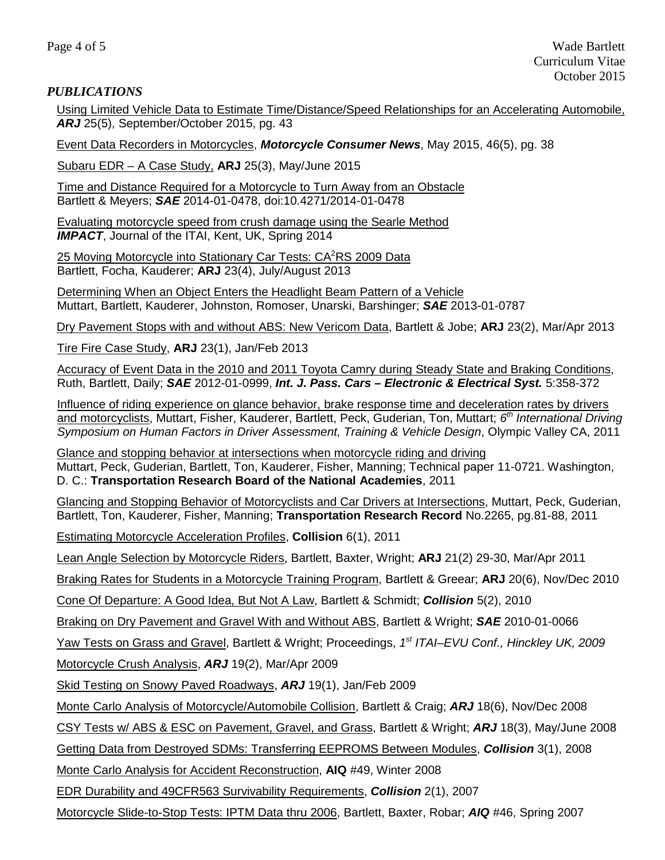#### *PUBLICATIONS*

Using Limited Vehicle Data to Estimate Time/Distance/Speed Relationships for an Accelerating Automobile, *ARJ* 25(5), September/October 2015, pg. 43

Event Data Recorders in Motorcycles, *Motorcycle Consumer News*, May 2015, 46(5), pg. 38

Subaru EDR – A Case Study, **ARJ** 25(3), May/June 2015

Time and Distance Required for a Motorcycle to Turn Away from an Obstacle Bartlett & Meyers; *SAE* 2014-01-0478, doi:10.4271/2014-01-0478

Evaluating motorcycle speed from crush damage using the Searle Method *IMPACT*, Journal of the ITAI, Kent, UK, Spring 2014

25 Moving Motorcycle into Stationary Car Tests: CA<sup>2</sup>RS 2009 Data Bartlett, Focha, Kauderer; **ARJ** 23(4), July/August 2013

Determining When an Object Enters the Headlight Beam Pattern of a Vehicle Muttart, Bartlett, Kauderer, Johnston, Romoser, Unarski, Barshinger; *SAE* 2013-01-0787

Dry Pavement Stops with and without ABS: New Vericom Data, Bartlett & Jobe; **ARJ** 23(2), Mar/Apr 2013

Tire Fire Case Study, **ARJ** 23(1), Jan/Feb 2013

Accuracy of Event Data in the 2010 and 2011 Toyota Camry during Steady State and Braking Conditions, Ruth, Bartlett, Daily; *SAE* 2012-01-0999, *Int. J. Pass. Cars – Electronic & Electrical Syst.* 5:358-372

Influence of riding experience on glance behavior, brake response time and deceleration rates by drivers and motorcyclists, Muttart, Fisher, Kauderer, Bartlett, Peck, Guderian, Ton, Muttart; *6th International Driving Symposium on Human Factors in Driver Assessment, Training & Vehicle Design*, Olympic Valley CA, 2011

Glance and stopping behavior at intersections when motorcycle riding and driving Muttart, Peck, Guderian, Bartlett, Ton, Kauderer, Fisher, Manning; Technical paper 11-0721. Washington, D. C.: **Transportation Research Board of the National Academies**, 2011

Glancing and Stopping Behavior of Motorcyclists and Car Drivers at Intersections, Muttart, Peck, Guderian, Bartlett, Ton, Kauderer, Fisher, Manning; **Transportation Research Record** No.2265, pg.81-88, 2011

Estimating Motorcycle Acceleration Profiles, **Collision** 6(1), 2011

Lean Angle Selection by Motorcycle Riders, Bartlett, Baxter, Wright; **ARJ** 21(2) 29-30, Mar/Apr 2011

Braking Rates for Students in a Motorcycle Training Program, Bartlett & Greear; **ARJ** 20(6), Nov/Dec 2010

Cone Of Departure: A Good Idea, But Not A Law, Bartlett & Schmidt; *Collision* 5(2), 2010

Braking on Dry Pavement and Gravel With and Without ABS, Bartlett & Wright; *SAE* 2010-01-0066

Yaw Tests on Grass and Gravel, Bartlett & Wright; Proceedings, *1st ITAI–EVU Conf., Hinckley UK, 2009*

Motorcycle Crush Analysis, *ARJ* 19(2), Mar/Apr 2009

Skid Testing on Snowy Paved Roadways, *ARJ* 19(1), Jan/Feb 2009

Monte Carlo Analysis of Motorcycle/Automobile Collision, Bartlett & Craig; *ARJ* 18(6), Nov/Dec 2008

CSY Tests w/ ABS & ESC on Pavement, Gravel, and Grass, Bartlett & Wright; *ARJ* 18(3), May/June 2008

Getting Data from Destroyed SDMs: Transferring EEPROMS Between Modules, *Collision* 3(1), 2008

Monte Carlo Analysis for Accident Reconstruction, **AIQ** #49, Winter 2008

EDR Durability and 49CFR563 Survivability Requirements, *Collision* 2(1), 2007

Motorcycle Slide-to-Stop Tests: IPTM Data thru 2006, Bartlett, Baxter, Robar; *AIQ* #46, Spring 2007